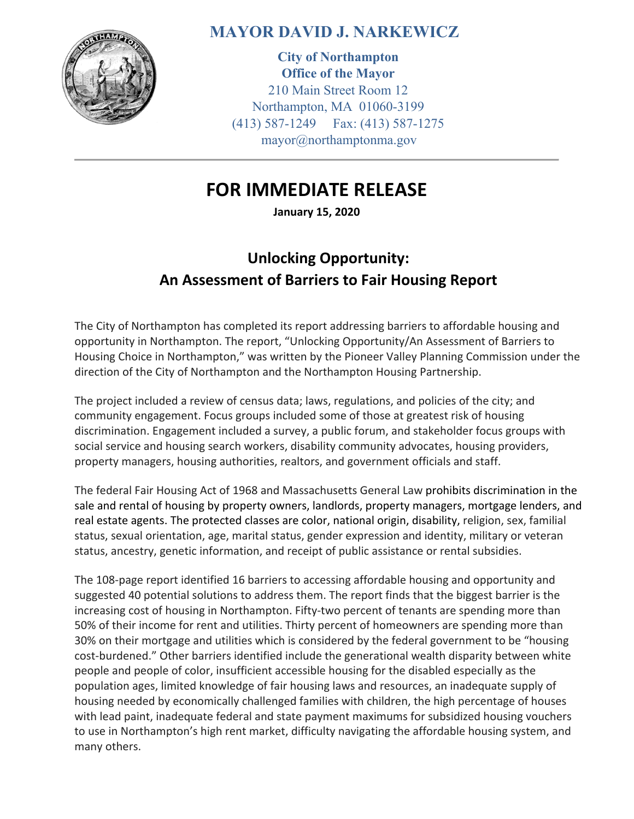

## **MAYOR DAVID J. NARKEWICZ**

**City of Northampton Office of the Mayor**  210 Main Street Room 12 Northampton, MA 01060-3199 (413) 587-1249 Fax: (413) 587-1275 mayor@northamptonma.gov

## **FOR IMMEDIATE RELEASE**

**January 15, 2020**

## **Unlocking Opportunity: An Assessment of Barriers to Fair Housing Report**

The City of Northampton has completed its report addressing barriers to affordable housing and opportunity in Northampton. The report, "Unlocking Opportunity/An Assessment of Barriers to Housing Choice in Northampton," was written by the Pioneer Valley Planning Commission under the direction of the City of Northampton and the Northampton Housing Partnership.

The project included a review of census data; laws, regulations, and policies of the city; and community engagement. Focus groups included some of those at greatest risk of housing discrimination. Engagement included a survey, a public forum, and stakeholder focus groups with social service and housing search workers, disability community advocates, housing providers, property managers, housing authorities, realtors, and government officials and staff.

The federal Fair Housing Act of 1968 and Massachusetts General Law prohibits discrimination in the sale and rental of housing by property owners, landlords, property managers, mortgage lenders, and real estate agents. The protected classes are color, national origin, disability, religion, sex, familial status, sexual orientation, age, marital status, gender expression and identity, military or veteran status, ancestry, genetic information, and receipt of public assistance or rental subsidies.

The 108‐page report identified 16 barriers to accessing affordable housing and opportunity and suggested 40 potential solutions to address them. The report finds that the biggest barrier is the increasing cost of housing in Northampton. Fifty-two percent of tenants are spending more than 50% of their income for rent and utilities. Thirty percent of homeowners are spending more than 30% on their mortgage and utilities which is considered by the federal government to be "housing cost-burdened." Other barriers identified include the generational wealth disparity between white people and people of color, insufficient accessible housing for the disabled especially as the population ages, limited knowledge of fair housing laws and resources, an inadequate supply of housing needed by economically challenged families with children, the high percentage of houses with lead paint, inadequate federal and state payment maximums for subsidized housing vouchers to use in Northampton's high rent market, difficulty navigating the affordable housing system, and many others.